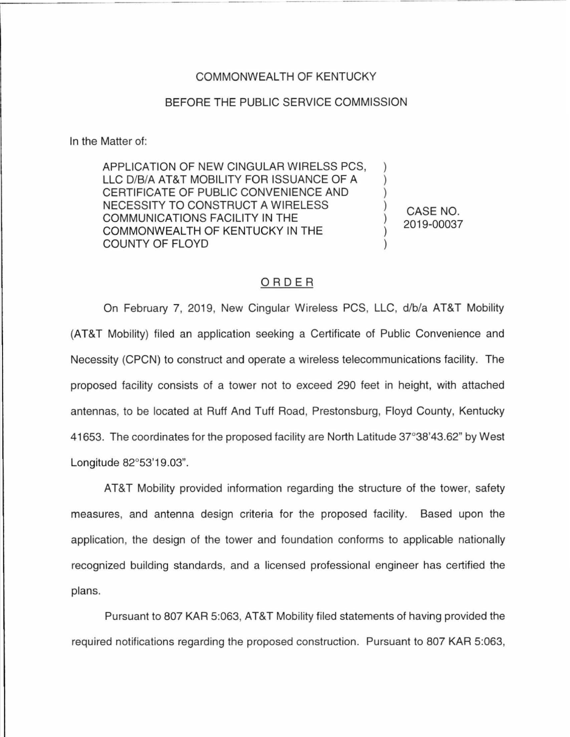## COMMONWEALTH OF KENTUCKY

## BEFORE THE PUBLIC SERVICE COMMISSION

In the Matter of:

APPLICATION OF NEW CINGULAR WIRELSS PCS, LLC D/B/A AT&T MOBILITY FOR ISSUANCE OF A CERTIFICATE OF PUBLIC CONVENIENCE AND NECESSITY TO CONSTRUCT A WIRELESS COMMUNICATIONS FACILITY IN THE COMMONWEALTH OF KENTUCKY IN THE COUNTY OF FLOYD

CASE NO. 2019-00037

) ) ) ) ) ) )

## ORDER

On February 7, 2019, New Cingular Wireless PCS, LLC, d/b/a AT&T Mobility (AT&T Mobility) filed an application seeking a Certificate of Public Convenience and Necessity (CPCN) to construct and operate a wireless telecommunications facility. The proposed facility consists of a tower not to exceed 290 feet in height, with attached antennas, to be located at Ruff And Tuff Road, Prestonsburg, Floyd County, Kentucky 41653. The coordinates for the proposed facility are North Latitude 37°38'43.62" by West Longitude 82°53'19.03".

AT&T Mobility provided information regarding the structure of the tower, safety measures, and antenna design criteria for the proposed facility. Based upon the application, the design of the tower and foundation conforms to applicable nationally recognized building standards, and a licensed professional engineer has certified the plans.

Pursuant to 807 KAR 5:063, AT&T Mobility filed statements of having provided the required notifications regarding the proposed construction. Pursuant to 807 KAR 5:063,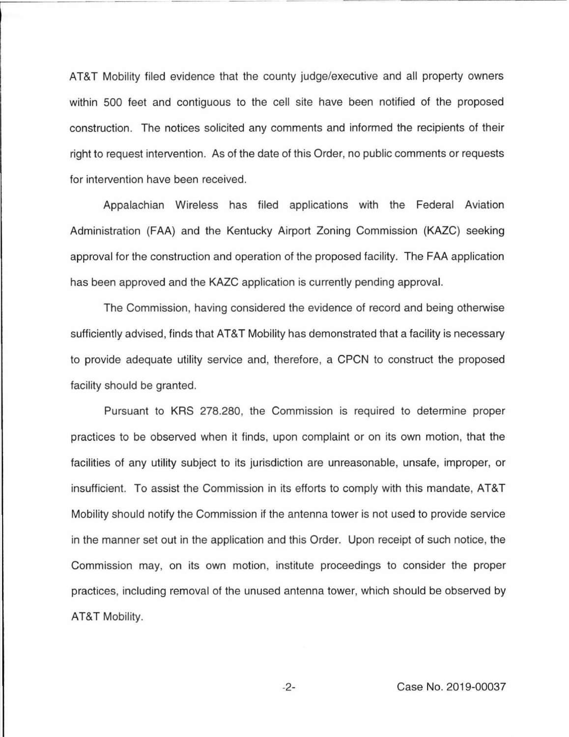AT&T Mobility filed evidence that the county judge/executive and all property owners within 500 feet and contiguous to the cell site have been notified of the proposed construction. The notices solicited any comments and informed the recipients of their right to request intervention. As of the date of this Order, no public comments or requests for intervention have been received.

Appalachian Wireless has filed applications with the Federal Aviation Administration (FAA) and the Kentucky Airport Zoning Commission (KAZC) seeking approval for the construction and operation of the proposed facility. The FAA application has been approved and the KAZC application is currently pending approval.

The Commission, having considered the evidence of record and being otherwise sufficiently advised, finds that AT&T Mobility has demonstrated that a facility is necessary to provide adequate utility service and, therefore, a CPCN to construct the proposed facility should be granted.

Pursuant to KRS 278.280, the Commission is required to determine proper practices to be observed when it finds, upon complaint or on its own motion, that the facilities of any utility subject to its jurisdiction are unreasonable, unsafe, improper, or insufficient. To assist the Commission in its efforts to comply with this mandate, AT&T Mobility should notify the Commission if the antenna tower is not used to provide service in the manner set out in the application and this Order. Upon receipt of such notice, the Commission may, on its own motion, institute proceedings to consider the proper practices, including removal of the unused antenna tower, which should be observed by AT&T Mobility.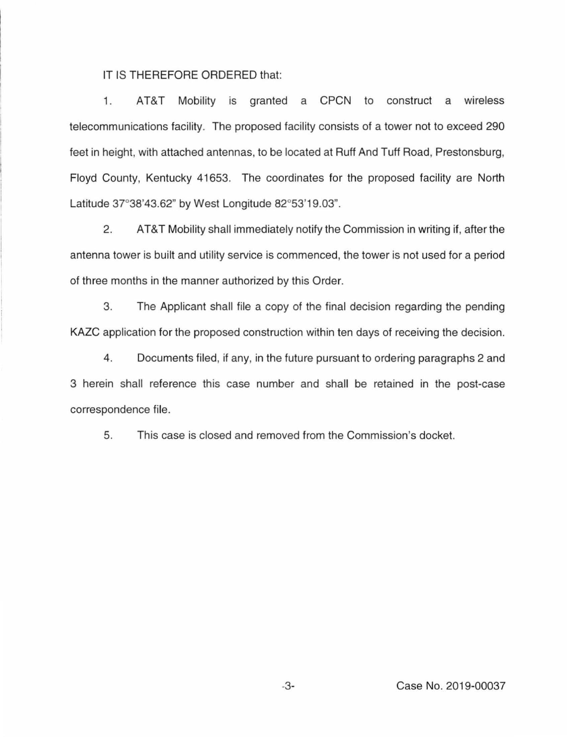IT IS THEREFORE ORDERED that:

1. AT&T Mobility is granted a CPCN to construct a wireless telecommunications facility. The proposed facility consists of a tower not to exceed 290 feet in height, with attached antennas, to be located at Ruff And Tuff Road, Prestonsburg, Floyd County, Kentucky 41653. The coordinates for the proposed facility are North Latitude 37°38'43.62" by West Longitude 82°53'19.03".

2. AT&T Mobility shall immediately notify the Commission in writing if, after the antenna tower is built and utility service is commenced, the tower is not used for a period of three months in the manner authorized by this Order.

3. The Applicant shall tile a copy of the final decision regarding the pending KAZC application tor the proposed construction within ten days of receiving the decision.

4. Documents filed, if any, in the future pursuant to ordering paragraphs 2 and 3 herein shall reference this case number and shall be retained in the post-case correspondence file.

5. This case is closed and removed from the Commission's docket.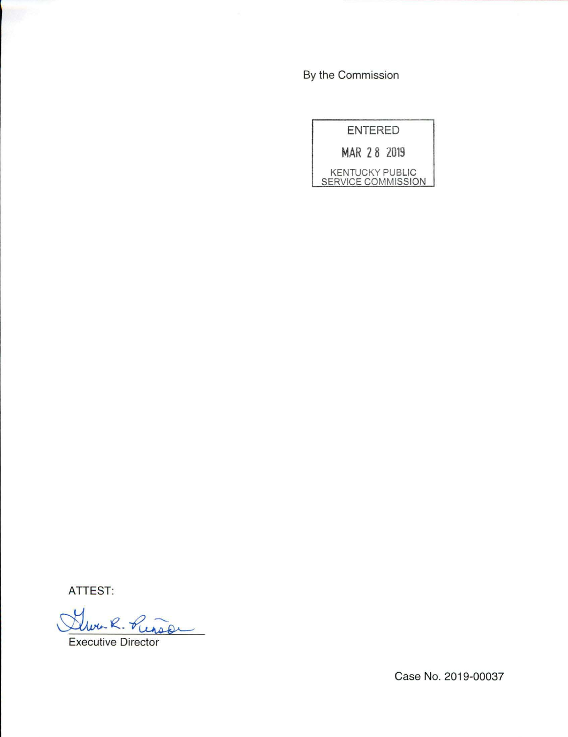By the Commission

| ENTERED                                      |  |  |
|----------------------------------------------|--|--|
| MAR 28 2019                                  |  |  |
| <b>KENTUCKY PUBLIC</b><br>SERVICE COMMISSION |  |  |

ATTEST:

Www. R. Pun

Case No. 2019-00037